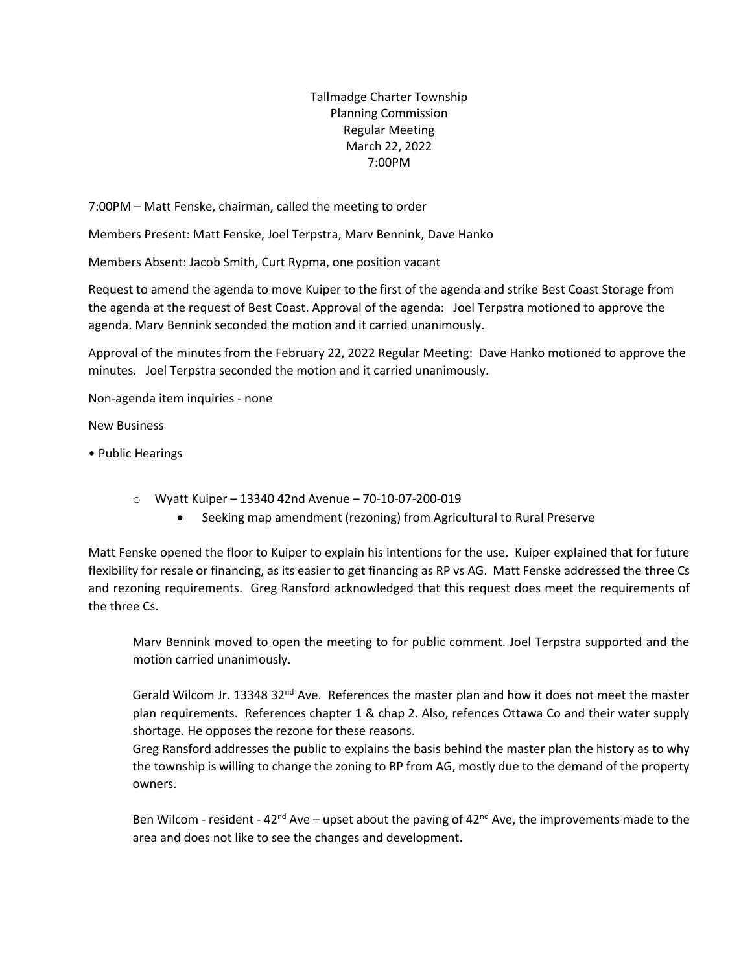Tallmadge Charter Township Planning Commission Regular Meeting March 22, 2022 7:00PM

7:00PM – Matt Fenske, chairman, called the meeting to order

Members Present: Matt Fenske, Joel Terpstra, Marv Bennink, Dave Hanko

Members Absent: Jacob Smith, Curt Rypma, one position vacant

Request to amend the agenda to move Kuiper to the first of the agenda and strike Best Coast Storage from the agenda at the request of Best Coast. Approval of the agenda: Joel Terpstra motioned to approve the agenda. Marv Bennink seconded the motion and it carried unanimously.

Approval of the minutes from the February 22, 2022 Regular Meeting: Dave Hanko motioned to approve the minutes. Joel Terpstra seconded the motion and it carried unanimously.

Non-agenda item inquiries - none

New Business

- Public Hearings
	- o Wyatt Kuiper 13340 42nd Avenue 70-10-07-200-019
		- Seeking map amendment (rezoning) from Agricultural to Rural Preserve

Matt Fenske opened the floor to Kuiper to explain his intentions for the use. Kuiper explained that for future flexibility for resale or financing, as its easier to get financing as RP vs AG. Matt Fenske addressed the three Cs and rezoning requirements. Greg Ransford acknowledged that this request does meet the requirements of the three Cs.

Marv Bennink moved to open the meeting to for public comment. Joel Terpstra supported and the motion carried unanimously.

Gerald Wilcom Jr. 13348 32<sup>nd</sup> Ave. References the master plan and how it does not meet the master plan requirements. References chapter 1 & chap 2. Also, refences Ottawa Co and their water supply shortage. He opposes the rezone for these reasons.

Greg Ransford addresses the public to explains the basis behind the master plan the history as to why the township is willing to change the zoning to RP from AG, mostly due to the demand of the property owners.

Ben Wilcom - resident - 42<sup>nd</sup> Ave – upset about the paving of 42<sup>nd</sup> Ave, the improvements made to the area and does not like to see the changes and development.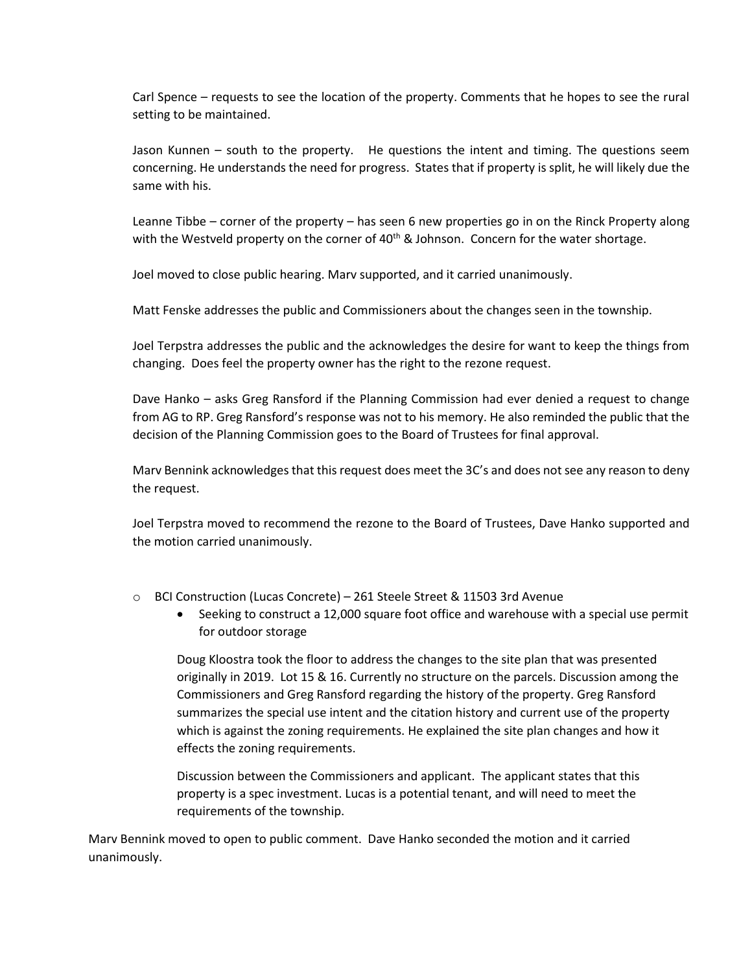Carl Spence – requests to see the location of the property. Comments that he hopes to see the rural setting to be maintained.

Jason Kunnen – south to the property. He questions the intent and timing. The questions seem concerning. He understands the need for progress. States that if property is split, he will likely due the same with his.

Leanne Tibbe – corner of the property – has seen 6 new properties go in on the Rinck Property along with the Westveld property on the corner of  $40<sup>th</sup>$  & Johnson. Concern for the water shortage.

Joel moved to close public hearing. Marv supported, and it carried unanimously.

Matt Fenske addresses the public and Commissioners about the changes seen in the township.

Joel Terpstra addresses the public and the acknowledges the desire for want to keep the things from changing. Does feel the property owner has the right to the rezone request.

Dave Hanko – asks Greg Ransford if the Planning Commission had ever denied a request to change from AG to RP. Greg Ransford's response was not to his memory. He also reminded the public that the decision of the Planning Commission goes to the Board of Trustees for final approval.

Marv Bennink acknowledges that this request does meet the 3C's and does not see any reason to deny the request.

Joel Terpstra moved to recommend the rezone to the Board of Trustees, Dave Hanko supported and the motion carried unanimously.

- o BCI Construction (Lucas Concrete) 261 Steele Street & 11503 3rd Avenue
	- Seeking to construct a 12,000 square foot office and warehouse with a special use permit for outdoor storage

Doug Kloostra took the floor to address the changes to the site plan that was presented originally in 2019. Lot 15 & 16. Currently no structure on the parcels. Discussion among the Commissioners and Greg Ransford regarding the history of the property. Greg Ransford summarizes the special use intent and the citation history and current use of the property which is against the zoning requirements. He explained the site plan changes and how it effects the zoning requirements.

Discussion between the Commissioners and applicant. The applicant states that this property is a spec investment. Lucas is a potential tenant, and will need to meet the requirements of the township.

Marv Bennink moved to open to public comment. Dave Hanko seconded the motion and it carried unanimously.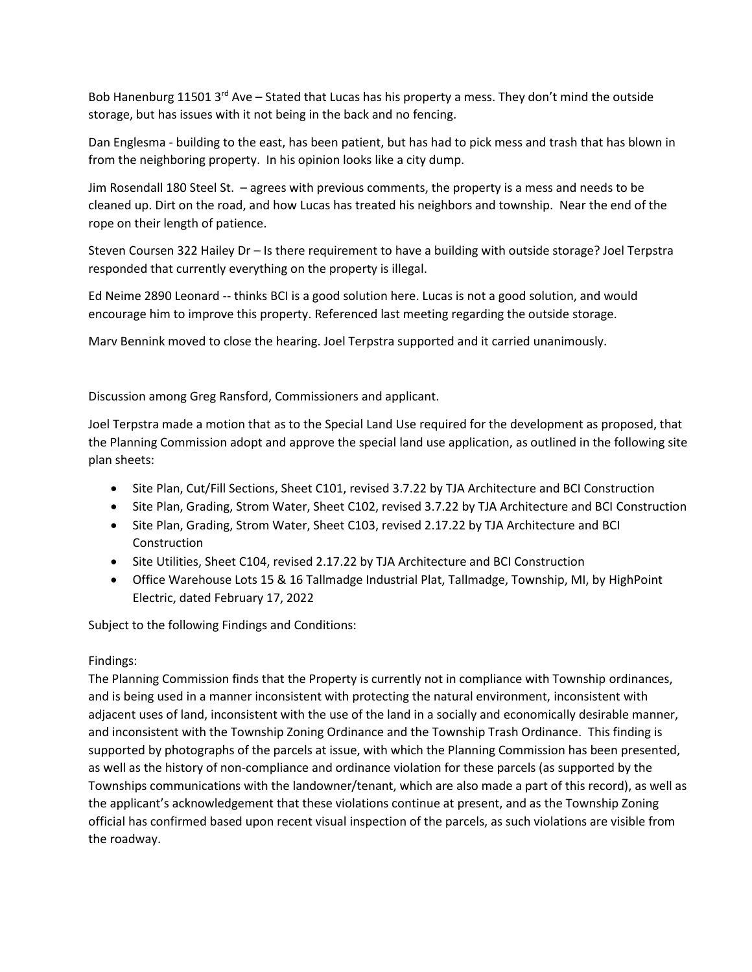Bob Hanenburg 11501 3<sup>rd</sup> Ave – Stated that Lucas has his property a mess. They don't mind the outside storage, but has issues with it not being in the back and no fencing.

Dan Englesma - building to the east, has been patient, but has had to pick mess and trash that has blown in from the neighboring property. In his opinion looks like a city dump.

Jim Rosendall 180 Steel St. – agrees with previous comments, the property is a mess and needs to be cleaned up. Dirt on the road, and how Lucas has treated his neighbors and township. Near the end of the rope on their length of patience.

Steven Coursen 322 Hailey Dr – Is there requirement to have a building with outside storage? Joel Terpstra responded that currently everything on the property is illegal.

Ed Neime 2890 Leonard -- thinks BCI is a good solution here. Lucas is not a good solution, and would encourage him to improve this property. Referenced last meeting regarding the outside storage.

Marv Bennink moved to close the hearing. Joel Terpstra supported and it carried unanimously.

## Discussion among Greg Ransford, Commissioners and applicant.

Joel Terpstra made a motion that as to the Special Land Use required for the development as proposed, that the Planning Commission adopt and approve the special land use application, as outlined in the following site plan sheets:

- Site Plan, Cut/Fill Sections, Sheet C101, revised 3.7.22 by TJA Architecture and BCI Construction
- Site Plan, Grading, Strom Water, Sheet C102, revised 3.7.22 by TJA Architecture and BCI Construction
- Site Plan, Grading, Strom Water, Sheet C103, revised 2.17.22 by TJA Architecture and BCI **Construction**
- Site Utilities, Sheet C104, revised 2.17.22 by TJA Architecture and BCI Construction
- Office Warehouse Lots 15 & 16 Tallmadge Industrial Plat, Tallmadge, Township, MI, by HighPoint Electric, dated February 17, 2022

Subject to the following Findings and Conditions:

## Findings:

The Planning Commission finds that the Property is currently not in compliance with Township ordinances, and is being used in a manner inconsistent with protecting the natural environment, inconsistent with adjacent uses of land, inconsistent with the use of the land in a socially and economically desirable manner, and inconsistent with the Township Zoning Ordinance and the Township Trash Ordinance. This finding is supported by photographs of the parcels at issue, with which the Planning Commission has been presented, as well as the history of non-compliance and ordinance violation for these parcels (as supported by the Townships communications with the landowner/tenant, which are also made a part of this record), as well as the applicant's acknowledgement that these violations continue at present, and as the Township Zoning official has confirmed based upon recent visual inspection of the parcels, as such violations are visible from the roadway.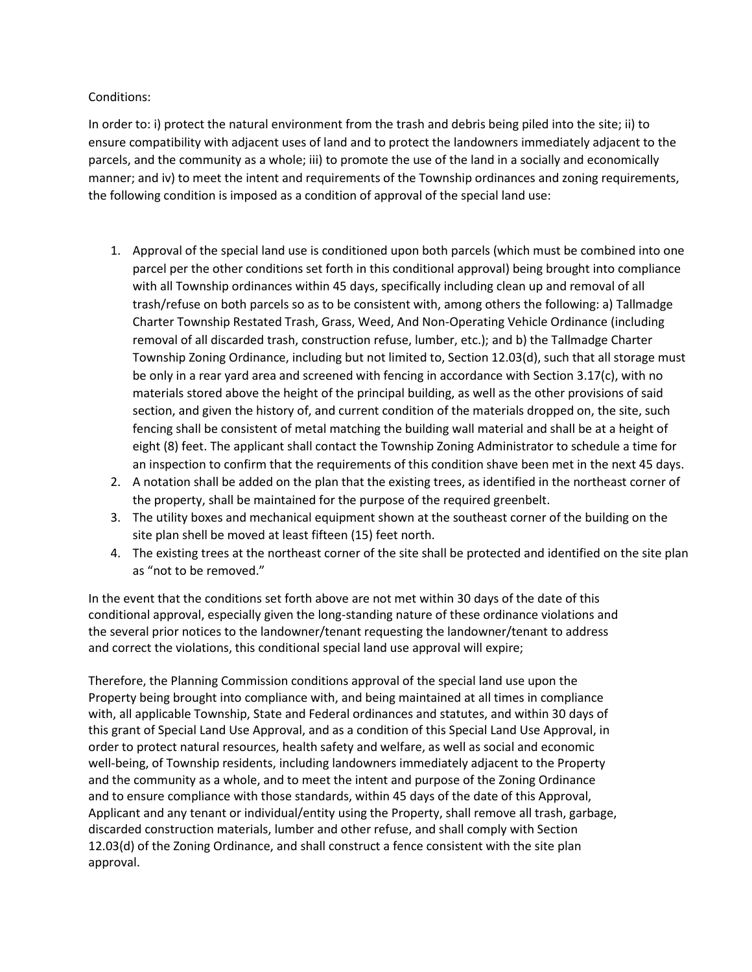Conditions:

In order to: i) protect the natural environment from the trash and debris being piled into the site; ii) to ensure compatibility with adjacent uses of land and to protect the landowners immediately adjacent to the parcels, and the community as a whole; iii) to promote the use of the land in a socially and economically manner; and iv) to meet the intent and requirements of the Township ordinances and zoning requirements, the following condition is imposed as a condition of approval of the special land use:

- 1. Approval of the special land use is conditioned upon both parcels (which must be combined into one parcel per the other conditions set forth in this conditional approval) being brought into compliance with all Township ordinances within 45 days, specifically including clean up and removal of all trash/refuse on both parcels so as to be consistent with, among others the following: a) Tallmadge Charter Township Restated Trash, Grass, Weed, And Non-Operating Vehicle Ordinance (including removal of all discarded trash, construction refuse, lumber, etc.); and b) the Tallmadge Charter Township Zoning Ordinance, including but not limited to, Section 12.03(d), such that all storage must be only in a rear yard area and screened with fencing in accordance with Section 3.17(c), with no materials stored above the height of the principal building, as well as the other provisions of said section, and given the history of, and current condition of the materials dropped on, the site, such fencing shall be consistent of metal matching the building wall material and shall be at a height of eight (8) feet. The applicant shall contact the Township Zoning Administrator to schedule a time for an inspection to confirm that the requirements of this condition shave been met in the next 45 days.
- 2. A notation shall be added on the plan that the existing trees, as identified in the northeast corner of the property, shall be maintained for the purpose of the required greenbelt.
- 3. The utility boxes and mechanical equipment shown at the southeast corner of the building on the site plan shell be moved at least fifteen (15) feet north.
- 4. The existing trees at the northeast corner of the site shall be protected and identified on the site plan as "not to be removed."

In the event that the conditions set forth above are not met within 30 days of the date of this conditional approval, especially given the long-standing nature of these ordinance violations and the several prior notices to the landowner/tenant requesting the landowner/tenant to address and correct the violations, this conditional special land use approval will expire;

Therefore, the Planning Commission conditions approval of the special land use upon the Property being brought into compliance with, and being maintained at all times in compliance with, all applicable Township, State and Federal ordinances and statutes, and within 30 days of this grant of Special Land Use Approval, and as a condition of this Special Land Use Approval, in order to protect natural resources, health safety and welfare, as well as social and economic well-being, of Township residents, including landowners immediately adjacent to the Property and the community as a whole, and to meet the intent and purpose of the Zoning Ordinance and to ensure compliance with those standards, within 45 days of the date of this Approval, Applicant and any tenant or individual/entity using the Property, shall remove all trash, garbage, discarded construction materials, lumber and other refuse, and shall comply with Section 12.03(d) of the Zoning Ordinance, and shall construct a fence consistent with the site plan approval.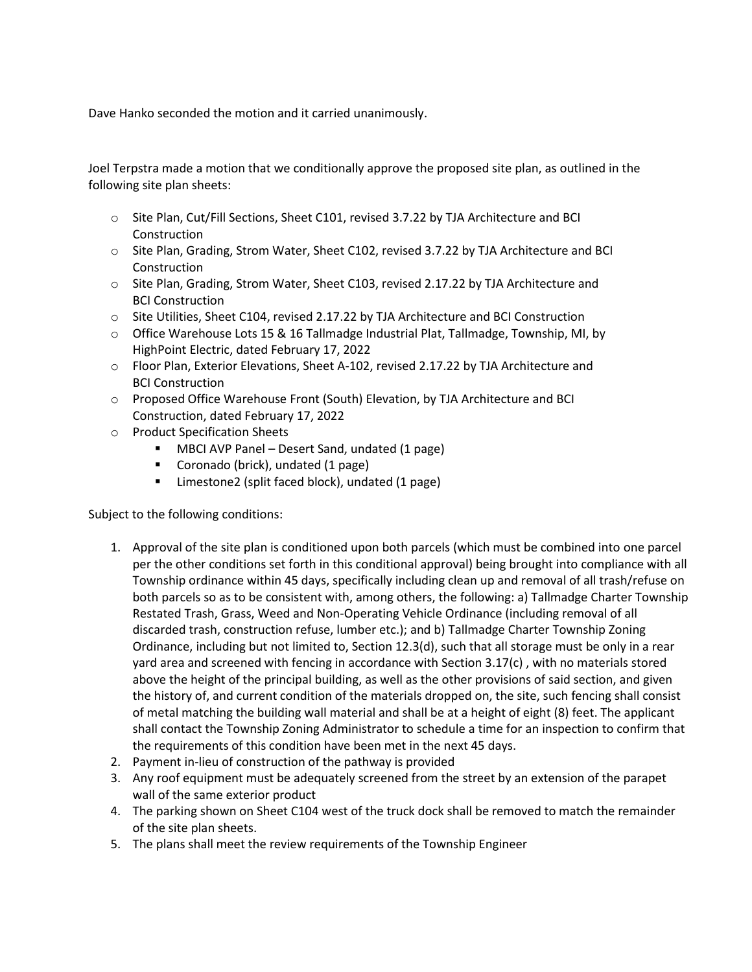Dave Hanko seconded the motion and it carried unanimously.

Joel Terpstra made a motion that we conditionally approve the proposed site plan, as outlined in the following site plan sheets:

- o Site Plan, Cut/Fill Sections, Sheet C101, revised 3.7.22 by TJA Architecture and BCI **Construction**
- o Site Plan, Grading, Strom Water, Sheet C102, revised 3.7.22 by TJA Architecture and BCI Construction
- o Site Plan, Grading, Strom Water, Sheet C103, revised 2.17.22 by TJA Architecture and BCI Construction
- o Site Utilities, Sheet C104, revised 2.17.22 by TJA Architecture and BCI Construction
- o Office Warehouse Lots 15 & 16 Tallmadge Industrial Plat, Tallmadge, Township, MI, by HighPoint Electric, dated February 17, 2022
- o Floor Plan, Exterior Elevations, Sheet A-102, revised 2.17.22 by TJA Architecture and BCI Construction
- o Proposed Office Warehouse Front (South) Elevation, by TJA Architecture and BCI Construction, dated February 17, 2022
- o Product Specification Sheets
	- MBCI AVP Panel Desert Sand, undated (1 page)
	- Coronado (brick), undated (1 page)
	- Limestone2 (split faced block), undated (1 page)

Subject to the following conditions:

- 1. Approval of the site plan is conditioned upon both parcels (which must be combined into one parcel per the other conditions set forth in this conditional approval) being brought into compliance with all Township ordinance within 45 days, specifically including clean up and removal of all trash/refuse on both parcels so as to be consistent with, among others, the following: a) Tallmadge Charter Township Restated Trash, Grass, Weed and Non-Operating Vehicle Ordinance (including removal of all discarded trash, construction refuse, lumber etc.); and b) Tallmadge Charter Township Zoning Ordinance, including but not limited to, Section 12.3(d), such that all storage must be only in a rear yard area and screened with fencing in accordance with Section 3.17(c) , with no materials stored above the height of the principal building, as well as the other provisions of said section, and given the history of, and current condition of the materials dropped on, the site, such fencing shall consist of metal matching the building wall material and shall be at a height of eight (8) feet. The applicant shall contact the Township Zoning Administrator to schedule a time for an inspection to confirm that the requirements of this condition have been met in the next 45 days.
- 2. Payment in-lieu of construction of the pathway is provided
- 3. Any roof equipment must be adequately screened from the street by an extension of the parapet wall of the same exterior product
- 4. The parking shown on Sheet C104 west of the truck dock shall be removed to match the remainder of the site plan sheets.
- 5. The plans shall meet the review requirements of the Township Engineer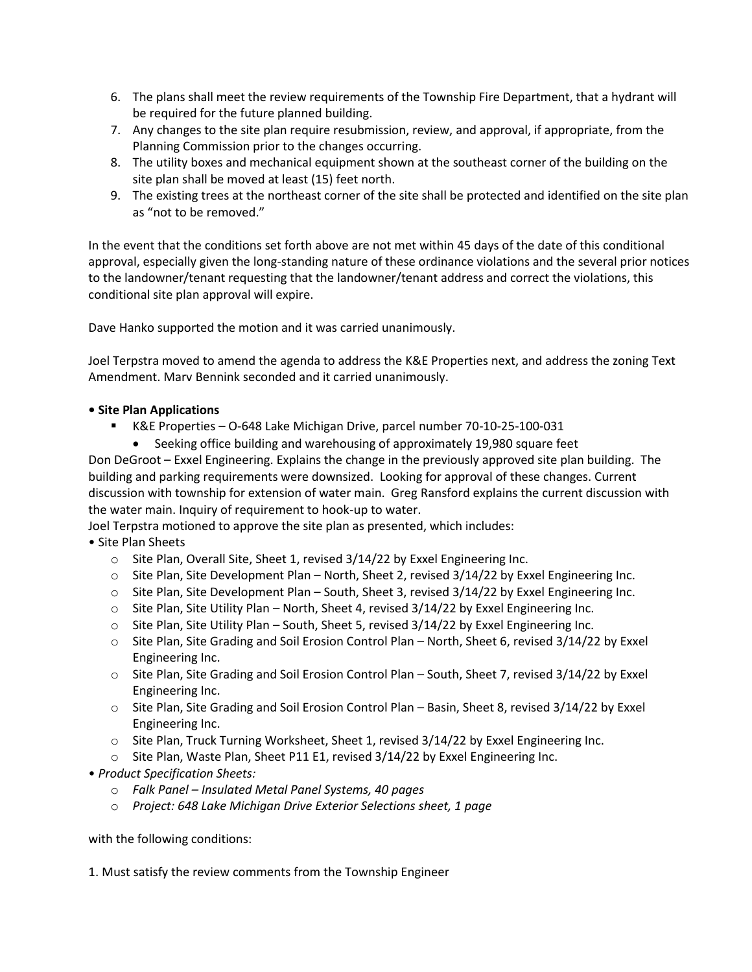- 6. The plans shall meet the review requirements of the Township Fire Department, that a hydrant will be required for the future planned building.
- 7. Any changes to the site plan require resubmission, review, and approval, if appropriate, from the Planning Commission prior to the changes occurring.
- 8. The utility boxes and mechanical equipment shown at the southeast corner of the building on the site plan shall be moved at least (15) feet north.
- 9. The existing trees at the northeast corner of the site shall be protected and identified on the site plan as "not to be removed."

In the event that the conditions set forth above are not met within 45 days of the date of this conditional approval, especially given the long-standing nature of these ordinance violations and the several prior notices to the landowner/tenant requesting that the landowner/tenant address and correct the violations, this conditional site plan approval will expire.

Dave Hanko supported the motion and it was carried unanimously.

Joel Terpstra moved to amend the agenda to address the K&E Properties next, and address the zoning Text Amendment. Marv Bennink seconded and it carried unanimously.

## **• Site Plan Applications**

- K&E Properties O-648 Lake Michigan Drive, parcel number 70-10-25-100-031
	- Seeking office building and warehousing of approximately 19,980 square feet

Don DeGroot – Exxel Engineering. Explains the change in the previously approved site plan building. The building and parking requirements were downsized. Looking for approval of these changes. Current discussion with township for extension of water main. Greg Ransford explains the current discussion with the water main. Inquiry of requirement to hook-up to water.

Joel Terpstra motioned to approve the site plan as presented, which includes:

• Site Plan Sheets

- o Site Plan, Overall Site, Sheet 1, revised 3/14/22 by Exxel Engineering Inc.
- $\circ$  Site Plan, Site Development Plan North, Sheet 2, revised 3/14/22 by Exxel Engineering Inc.
- $\circ$  Site Plan, Site Development Plan South, Sheet 3, revised 3/14/22 by Exxel Engineering Inc.
- $\circ$  Site Plan, Site Utility Plan North, Sheet 4, revised 3/14/22 by Exxel Engineering Inc.
- $\circ$  Site Plan, Site Utility Plan South, Sheet 5, revised 3/14/22 by Exxel Engineering Inc.
- o Site Plan, Site Grading and Soil Erosion Control Plan North, Sheet 6, revised 3/14/22 by Exxel Engineering Inc.
- o Site Plan, Site Grading and Soil Erosion Control Plan South, Sheet 7, revised 3/14/22 by Exxel Engineering Inc.
- o Site Plan, Site Grading and Soil Erosion Control Plan Basin, Sheet 8, revised 3/14/22 by Exxel Engineering Inc.
- $\circ$  Site Plan, Truck Turning Worksheet, Sheet 1, revised 3/14/22 by Exxel Engineering Inc.
- $\circ$  Site Plan, Waste Plan, Sheet P11 E1, revised 3/14/22 by Exxel Engineering Inc.
- *Product Specification Sheets:* 
	- o *Falk Panel – Insulated Metal Panel Systems, 40 pages*
	- o *Project: 648 Lake Michigan Drive Exterior Selections sheet, 1 page*

with the following conditions:

1. Must satisfy the review comments from the Township Engineer